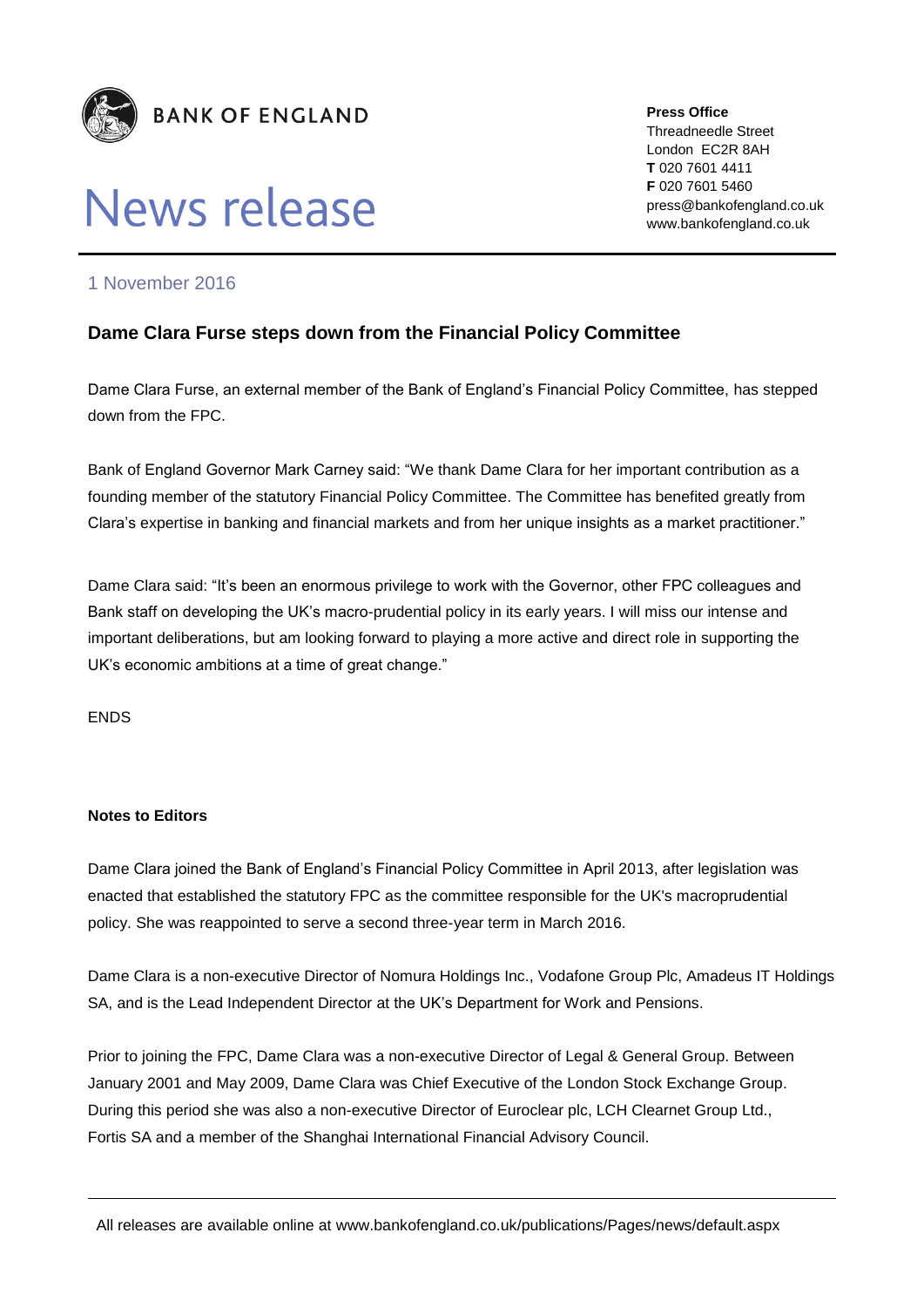

## **News release**

**Press Office** Threadneedle Street London EC2R 8AH **T** 020 7601 4411 **F** 020 7601 5460 press@bankofengland.co.uk www.bankofengland.co.uk

## 1 November 2016

## **Dame Clara Furse steps down from the Financial Policy Committee**

Dame Clara Furse, an external member of the Bank of England's Financial Policy Committee, has stepped down from the FPC.

Bank of England Governor Mark Carney said: "We thank Dame Clara for her important contribution as a founding member of the statutory Financial Policy Committee. The Committee has benefited greatly from Clara's expertise in banking and financial markets and from her unique insights as a market practitioner."

Dame Clara said: "It's been an enormous privilege to work with the Governor, other FPC colleagues and Bank staff on developing the UK's macro-prudential policy in its early years. I will miss our intense and important deliberations, but am looking forward to playing a more active and direct role in supporting the UK's economic ambitions at a time of great change."

ENDS

## **Notes to Editors**

Dame Clara joined the Bank of England's Financial Policy Committee in April 2013, after legislation was enacted that established the statutory FPC as the committee responsible for the UK's macroprudential policy. She was reappointed to serve a second three-year term in March 2016.

Dame Clara is a non-executive Director of Nomura Holdings Inc., Vodafone Group Plc, Amadeus IT Holdings SA, and is the Lead Independent Director at the UK's Department for Work and Pensions.

Prior to joining the FPC, Dame Clara was a non-executive Director of Legal & General Group. Between January 2001 and May 2009, Dame Clara was Chief Executive of the London Stock Exchange Group. During this period she was also a non-executive Director of Euroclear plc, LCH Clearnet Group Ltd., Fortis SA and a member of the Shanghai International Financial Advisory Council.